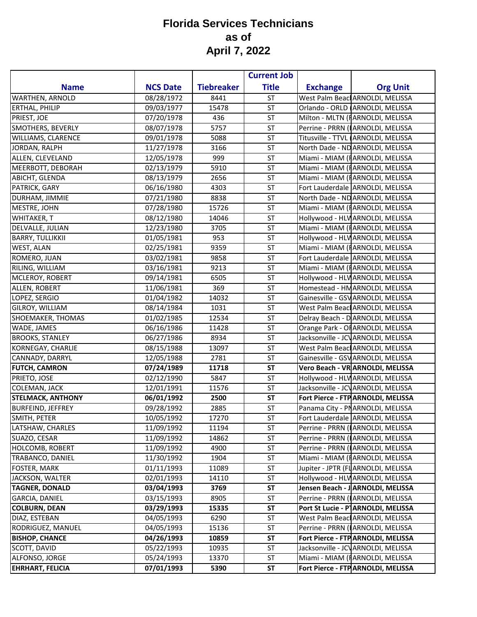|                          |                 |                   | <b>Current Job</b> |                 |                                     |
|--------------------------|-----------------|-------------------|--------------------|-----------------|-------------------------------------|
| <b>Name</b>              | <b>NCS Date</b> | <b>Tiebreaker</b> | <b>Title</b>       | <b>Exchange</b> | <b>Org Unit</b>                     |
| <b>WARTHEN, ARNOLD</b>   | 08/28/1972      | 8441              | <b>ST</b>          |                 | West Palm Beacl ARNOLDI, MELISSA    |
| <b>ERTHAL, PHILIP</b>    | 09/03/1977      | 15478             | <b>ST</b>          |                 | Orlando - ORLD ARNOLDI, MELISSA     |
| PRIEST, JOE              | 07/20/1978      | 436               | ST                 |                 | Milton - MLTN (FARNOLDI, MELISSA    |
| SMOTHERS, BEVERLY        | 08/07/1978      | 5757              | <b>ST</b>          |                 | Perrine - PRRN (IARNOLDI, MELISSA   |
| WILLIAMS, CLARENCE       | 09/01/1978      | 5088              | <b>ST</b>          |                 | Titusville - TTVL ARNOLDI, MELISSA  |
| <b>JORDAN, RALPH</b>     | 11/27/1978      | 3166              | <b>ST</b>          |                 | North Dade - ND ARNOLDI, MELISSA    |
| ALLEN, CLEVELAND         | 12/05/1978      | 999               | <b>ST</b>          |                 | Miami - MIAM (FARNOLDI, MELISSA     |
| MEERBOTT, DEBORAH        | 02/13/1979      | 5910              | <b>ST</b>          |                 | Miami - MIAM (IARNOLDI, MELISSA     |
| ABICHT, GLENDA           | 08/13/1979      | 2656              | <b>ST</b>          |                 | Miami - MIAM (IARNOLDI, MELISSA     |
| PATRICK, GARY            | 06/16/1980      | 4303              | ST                 |                 | Fort Lauderdale ARNOLDI, MELISSA    |
| DURHAM, JIMMIE           | 07/21/1980      | 8838              | <b>ST</b>          |                 | North Dade - ND ARNOLDI, MELISSA    |
| MESTRE, JOHN             | 07/28/1980      | 15726             | ST                 |                 | Miami - MIAM (I ARNOLDI, MELISSA    |
| WHITAKER, T              | 08/12/1980      | 14046             | <b>ST</b>          |                 | Hollywood - HLV ARNOLDI, MELISSA    |
| <b>DELVALLE, JULIAN</b>  | 12/23/1980      | 3705              | <b>ST</b>          |                 | Miami - MIAM (IARNOLDI, MELISSA     |
| <b>BARRY, TULLIKKII</b>  | 01/05/1981      | 953               | <b>ST</b>          |                 | Hollywood - HLV ARNOLDI, MELISSA    |
| WEST, ALAN               | 02/25/1981      | 9359              | <b>ST</b>          |                 | Miami - MIAM (FARNOLDI, MELISSA     |
| ROMERO, JUAN             | 03/02/1981      | 9858              | ST                 |                 | Fort Lauderdale ARNOLDI, MELISSA    |
| RILING, WILLIAM          | 03/16/1981      | 9213              | <b>ST</b>          |                 | Miami - MIAM (I ARNOLDI, MELISSA    |
| MCLEROY, ROBERT          | 09/14/1981      | 6505              | ST                 |                 | Hollywood - HLV ARNOLDI, MELISSA    |
| ALLEN, ROBERT            | 11/06/1981      | 369               | <b>ST</b>          |                 | Homestead - HM ARNOLDI, MELISSA     |
| LOPEZ, SERGIO            | 01/04/1982      | 14032             | <b>ST</b>          |                 | Gainesville - GSV ARNOLDI, MELISSA  |
| <b>GILROY, WILLIAM</b>   | 08/14/1984      | 1031              | <b>ST</b>          |                 | West Palm Beac ARNOLDI, MELISSA     |
| SHOEMAKER, THOMAS        | 01/02/1985      | 12534             | <b>ST</b>          |                 | Delray Beach - D ARNOLDI, MELISSA   |
| WADE, JAMES              | 06/16/1986      | 11428             | ST                 |                 | Orange Park - OF ARNOLDI, MELISSA   |
| <b>BROOKS, STANLEY</b>   | 06/27/1986      | 8934              | <b>ST</b>          |                 | Jacksonville - JCV ARNOLDI, MELISSA |
| <b>KORNEGAY, CHARLIE</b> | 08/15/1988      | 13097             | ST                 |                 | West Palm Beac ARNOLDI, MELISSA     |
| CANNADY, DARRYL          | 12/05/1988      | 2781              | <b>ST</b>          |                 | Gainesville - GSV ARNOLDI, MELISSA  |
| <b>FUTCH, CAMRON</b>     | 07/24/1989      | 11718             | <b>ST</b>          |                 | Vero Beach - VR ARNOLDI, MELISSA    |
| PRIETO, JOSE             | 02/12/1990      | 5847              | <b>ST</b>          |                 | Hollywood - HLV ARNOLDI, MELISSA    |
| <b>COLEMAN, JACK</b>     | 12/01/1991      | 11576             | <b>ST</b>          |                 | Jacksonville - JCV ARNOLDI, MELISSA |
| <b>STELMACK, ANTHONY</b> | 06/01/1992      | 2500              | <b>ST</b>          |                 | Fort Pierce - FTP ARNOLDI, MELISSA  |
| <b>BURFEIND, JEFFREY</b> | 09/28/1992      | 2885              | <b>ST</b>          |                 | Panama City - PNARNOLDI, MELISSA    |
| SMITH, PETER             | 10/05/1992      | 17270             | ST                 |                 | Fort Lauderdale ARNOLDI, MELISSA    |
| LATSHAW, CHARLES         | 11/09/1992      | 11194             | <b>ST</b>          |                 | Perrine - PRRN (ARNOLDI, MELISSA    |
| SUAZO, CESAR             | 11/09/1992      | 14862             | ST                 |                 | Perrine - PRRN (IARNOLDI, MELISSA   |
| HOLCOMB, ROBERT          | 11/09/1992      | 4900              | ST                 |                 | Perrine - PRRN (IARNOLDI, MELISSA   |
| TRABANCO, DANIEL         | 11/30/1992      | 1904              | ST                 |                 | Miami - MIAM (IARNOLDI, MELISSA     |
| FOSTER, MARK             | 01/11/1993      | 11089             | ST                 |                 | Jupiter - JPTR (FLARNOLDI, MELISSA  |
| JACKSON, WALTER          | 02/01/1993      | 14110             | ST                 |                 | Hollywood - HLV ARNOLDI, MELISSA    |
| <b>TAGNER, DONALD</b>    | 03/04/1993      | 3769              | <b>ST</b>          |                 | Jensen Beach - J ARNOLDI, MELISSA   |
| GARCIA, DANIEL           | 03/15/1993      | 8905              | ST                 |                 | Perrine - PRRN (IARNOLDI, MELISSA   |
| <b>COLBURN, DEAN</b>     | 03/29/1993      | 15335             | ST                 |                 | Port St Lucie - P ARNOLDI, MELISSA  |
| DIAZ, ESTEBAN            | 04/05/1993      | 6290              | <b>ST</b>          |                 | West Palm Beacl ARNOLDI, MELISSA    |
| RODRIGUEZ, MANUEL        | 04/05/1993      | 15136             | ST                 |                 | Perrine - PRRN (IARNOLDI, MELISSA   |
| <b>BISHOP, CHANCE</b>    | 04/26/1993      | 10859             | ST                 |                 | Fort Pierce - FTP ARNOLDI, MELISSA  |
| SCOTT, DAVID             | 05/22/1993      | 10935             | ST                 |                 | Jacksonville - JCV ARNOLDI, MELISSA |
| ALFONSO, JORGE           | 05/24/1993      | 13370             | ST                 |                 | Miami - MIAM (IARNOLDI, MELISSA     |
| <b>EHRHART, FELICIA</b>  | 07/01/1993      | 5390              | ST                 |                 | Fort Pierce - FTP ARNOLDI, MELISSA  |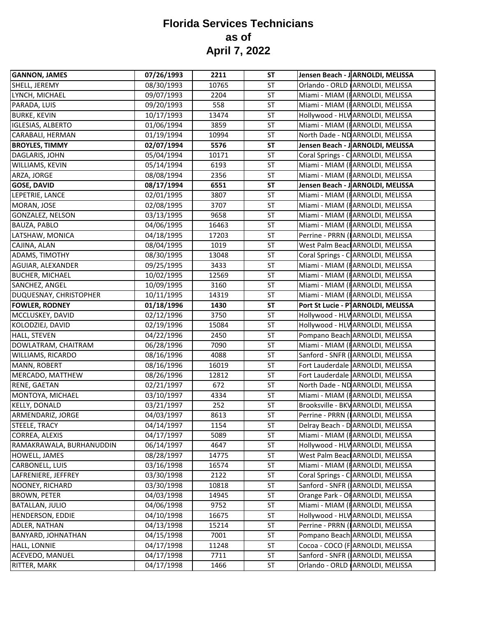| <b>GANNON, JAMES</b>     | 07/26/1993 | 2211  | <b>ST</b> | Jensen Beach - J ARNOLDI, MELISSA               |
|--------------------------|------------|-------|-----------|-------------------------------------------------|
| SHELL, JEREMY            | 08/30/1993 | 10765 | <b>ST</b> | Orlando - ORLD ARNOLDI, MELISSA                 |
| LYNCH, MICHAEL           | 09/07/1993 | 2204  | ST        | Miami - MIAM (FARNOLDI, MELISSA                 |
| PARADA, LUIS             | 09/20/1993 | 558   | <b>ST</b> | Miami - MIAM (I ARNOLDI, MELISSA                |
| <b>BURKE, KEVIN</b>      | 10/17/1993 | 13474 | ST        | Hollywood - HLV ARNOLDI, MELISSA                |
| <b>IGLESIAS, ALBERTO</b> | 01/06/1994 | 3859  | <b>ST</b> | Miami - MIAM (IARNOLDI, MELISSA                 |
| CARABALI, HERMAN         | 01/19/1994 | 10994 | <b>ST</b> | North Dade - ND ARNOLDI, MELISSA                |
| <b>BROYLES, TIMMY</b>    | 02/07/1994 | 5576  | <b>ST</b> | Jensen Beach - J ARNOLDI, MELISSA               |
| DAGLARIS, JOHN           | 05/04/1994 | 10171 | <b>ST</b> | Coral Springs - C ARNOLDI, MELISSA              |
| WILLIAMS, KEVIN          | 05/14/1994 | 6193  | ST        | Miami - MIAM (FARNOLDI, MELISSA                 |
| ARZA, JORGE              | 08/08/1994 | 2356  | <b>ST</b> | Miami - MIAM (FARNOLDI, MELISSA                 |
| <b>GOSE, DAVID</b>       | 08/17/1994 | 6551  | <b>ST</b> | Jensen Beach - J ARNOLDI, MELISSA               |
| LEPETRIE, LANCE          | 02/01/1995 | 3807  | <b>ST</b> | Miami - MIAM (I ARNOLDI, MELISSA                |
| MORAN, JOSE              | 02/08/1995 | 3707  | <b>ST</b> | Miami - MIAM (FARNOLDI, MELISSA                 |
| GONZALEZ, NELSON         | 03/13/1995 | 9658  | ST        | Miami - MIAM (FARNOLDI, MELISSA                 |
| BAUZA, PABLO             | 04/06/1995 | 16463 | ST        | Miami - MIAM (FARNOLDI, MELISSA                 |
| LATSHAW, MONICA          | 04/18/1995 | 17203 | ST        | Perrine - PRRN (IARNOLDI, MELISSA               |
| CAJINA, ALAN             | 08/04/1995 | 1019  | ST        | West Palm Beacl ARNOLDI, MELISSA                |
| ADAMS, TIMOTHY           | 08/30/1995 | 13048 | <b>ST</b> | Coral Springs - C ARNOLDI, MELISSA              |
| AGUIAR, ALEXANDER        | 09/25/1995 | 3433  | <b>ST</b> | Miami - MIAM (I ARNOLDI, MELISSA                |
| <b>BUCHER, MICHAEL</b>   | 10/02/1995 | 12569 | <b>ST</b> | Miami - MIAM (FARNOLDI, MELISSA                 |
| SANCHEZ, ANGEL           | 10/09/1995 | 3160  | <b>ST</b> | Miami - MIAM (IARNOLDI, MELISSA                 |
| DUQUESNAY, CHRISTOPHER   | 10/11/1995 | 14319 | ST        | Miami - MIAM (FARNOLDI, MELISSA                 |
| <b>FOWLER, RODNEY</b>    | 01/18/1996 | 1430  | <b>ST</b> | Port St Lucie - P <sup>1</sup> ARNOLDI, MELISSA |
| MCCLUSKEY, DAVID         | 02/12/1996 | 3750  | <b>ST</b> | Hollywood - HLV ARNOLDI, MELISSA                |
| KOLODZIEJ, DAVID         | 02/19/1996 | 15084 | <b>ST</b> | Hollywood - HLV ARNOLDI, MELISSA                |
| <b>HALL, STEVEN</b>      | 04/22/1996 | 2450  | <b>ST</b> | Pompano Beach ARNOLDI, MELISSA                  |
| DOWLATRAM, CHAITRAM      | 06/28/1996 | 7090  | <b>ST</b> | Miami - MIAM (I ARNOLDI, MELISSA                |
| WILLIAMS, RICARDO        | 08/16/1996 | 4088  | <b>ST</b> | Sanford - SNFR (ARNOLDI, MELISSA                |
| MANN, ROBERT             | 08/16/1996 | 16019 | ST        | Fort Lauderdale ARNOLDI, MELISSA                |
| MERCADO, MATTHEW         | 08/26/1996 | 12812 | ST        | Fort Lauderdale ARNOLDI, MELISSA                |
| RENE, GAETAN             | 02/21/1997 | 672   | <b>ST</b> | North Dade - ND ARNOLDI, MELISSA                |
| MONTOYA, MICHAEL         | 03/10/1997 | 4334  | ST        | Miami - MIAM (FARNOLDI, MELISSA                 |
| <b>KELLY, DONALD</b>     | 03/21/1997 | 252   | ST        | Brooksville - BKV ARNOLDI, MELISSA              |
| ARMENDARIZ, JORGE        | 04/03/1997 | 8613  | <b>ST</b> | Perrine - PRRN (IARNOLDI, MELISSA               |
| STEELE, TRACY            | 04/14/1997 | 1154  | <b>ST</b> | Delray Beach - D ARNOLDI, MELISSA               |
| CORREA, ALEXIS           | 04/17/1997 | 5089  | <b>ST</b> | Miami - MIAM (FARNOLDI, MELISSA                 |
| RAMAKRAWALA, BURHANUDDIN | 06/14/1997 | 4647  | $\sf ST$  | Hollywood - HLV ARNOLDI, MELISSA                |
| HOWELL, JAMES            | 08/28/1997 | 14775 | ST        | West Palm Beac ARNOLDI, MELISSA                 |
| CARBONELL, LUIS          | 03/16/1998 | 16574 | ST        | Miami - MIAM (FARNOLDI, MELISSA                 |
| LAFRENIERE, JEFFREY      | 03/30/1998 | 2122  | ST        | Coral Springs - C ARNOLDI, MELISSA              |
| NOONEY, RICHARD          | 03/30/1998 | 10818 | ST        | Sanford - SNFR (ARNOLDI, MELISSA                |
| <b>BROWN, PETER</b>      | 04/03/1998 | 14945 | <b>ST</b> | Orange Park - OF ARNOLDI, MELISSA               |
| <b>BATALLAN, JULIO</b>   | 04/06/1998 | 9752  | <b>ST</b> | Miami - MIAM (FARNOLDI, MELISSA                 |
| <b>HENDERSON, EDDIE</b>  | 04/10/1998 | 16675 | ST        | Hollywood - HLV ARNOLDI, MELISSA                |
| ADLER, NATHAN            | 04/13/1998 | 15214 | ST        | Perrine - PRRN (IARNOLDI, MELISSA               |
| BANYARD, JOHNATHAN       | 04/15/1998 | 7001  | ST        | Pompano Beach ARNOLDI, MELISSA                  |
|                          |            |       | ST        |                                                 |
| <b>HALL, LONNIE</b>      | 04/17/1998 | 11248 |           | Cocoa - COCO (FARNOLDI, MELISSA                 |
| ACEVEDO, MANUEL          | 04/17/1998 | 7711  | ST        | Sanford - SNFR (ARNOLDI, MELISSA                |
| RITTER, MARK             | 04/17/1998 | 1466  | ST        | Orlando - ORLD ARNOLDI, MELISSA                 |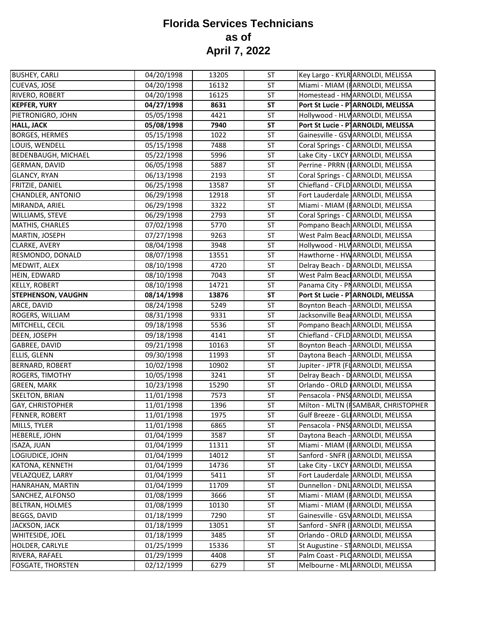| <b>BUSHEY, CARLI</b>       | 04/20/1998 | 13205 | <b>ST</b> | Key Largo - KYLR ARNOLDI, MELISSA               |
|----------------------------|------------|-------|-----------|-------------------------------------------------|
| CUEVAS, JOSE               | 04/20/1998 | 16132 | ST        | Miami - MIAM (FARNOLDI, MELISSA                 |
| RIVERO, ROBERT             | 04/20/1998 | 16125 | ST        | Homestead - HM ARNOLDI, MELISSA                 |
| <b>KEPFER, YURY</b>        | 04/27/1998 | 8631  | <b>ST</b> | Port St Lucie - P <sup>1</sup> ARNOLDI, MELISSA |
| PIETRONIGRO, JOHN          | 05/05/1998 | 4421  | ST        | Hollywood - HLV ARNOLDI, MELISSA                |
| <b>HALL, JACK</b>          | 05/08/1998 | 7940  | <b>ST</b> | Port St Lucie - PARNOLDI, MELISSA               |
| <b>BORGES, HERMES</b>      | 05/15/1998 | 1022  | <b>ST</b> | Gainesville - GSV ARNOLDI, MELISSA              |
| LOUIS, WENDELL             | 05/15/1998 | 7488  | <b>ST</b> | Coral Springs - C ARNOLDI, MELISSA              |
| <b>BEDENBAUGH, MICHAEL</b> | 05/22/1998 | 5996  | ST        | Lake City - LKCY ARNOLDI, MELISSA               |
| GERMAN, DAVID              | 06/05/1998 | 5887  | ST        | Perrine - PRRN (IARNOLDI, MELISSA               |
| <b>GLANCY, RYAN</b>        | 06/13/1998 | 2193  | ST        | Coral Springs - C ARNOLDI, MELISSA              |
| <b>FRITZIE, DANIEL</b>     | 06/25/1998 | 13587 | ST        | Chiefland - CFLD ARNOLDI, MELISSA               |
| CHANDLER, ANTONIO          | 06/29/1998 | 12918 | ST        | Fort Lauderdale ARNOLDI, MELISSA                |
| MIRANDA, ARIEL             | 06/29/1998 | 3322  | <b>ST</b> | Miami - MIAM (IARNOLDI, MELISSA                 |
| WILLIAMS, STEVE            | 06/29/1998 | 2793  | ST        | Coral Springs - C ARNOLDI, MELISSA              |
| <b>MATHIS, CHARLES</b>     | 07/02/1998 | 5770  | ST        | Pompano Beach ARNOLDI, MELISSA                  |
| MARTIN, JOSEPH             | 07/27/1998 | 9263  | ST        | West Palm Beac ARNOLDI, MELISSA                 |
| CLARKE, AVERY              | 08/04/1998 | 3948  | ST        | Hollywood - HLV ARNOLDI, MELISSA                |
| RESMONDO, DONALD           | 08/07/1998 | 13551 | ST        | Hawthorne - HW ARNOLDI, MELISSA                 |
| MEDWIT, ALEX               | 08/10/1998 | 4720  | <b>ST</b> | Delray Beach - D ARNOLDI, MELISSA               |
| HEIN, EDWARD               | 08/10/1998 | 7043  | ST        | West Palm Beacl ARNOLDI, MELISSA                |
| <b>KELLY, ROBERT</b>       | 08/10/1998 | 14721 | ST        | Panama City - PNARNOLDI, MELISSA                |
| <b>STEPHENSON, VAUGHN</b>  | 08/14/1998 | 13876 | <b>ST</b> | Port St Lucie - P ARNOLDI, MELISSA              |
| ARCE, DAVID                | 08/24/1998 | 5249  | ST        | Boynton Beach - ARNOLDI, MELISSA                |
| ROGERS, WILLIAM            | 08/31/1998 | 9331  | ST        | Jacksonville Bear ARNOLDI, MELISSA              |
| MITCHELL, CECIL            | 09/18/1998 | 5536  | ST        | Pompano Beach ARNOLDI, MELISSA                  |
| DEEN, JOSEPH               | 09/18/1998 | 4141  | ST        | Chiefland - CFLD ARNOLDI, MELISSA               |
| GABREE, DAVID              | 09/21/1998 | 10163 | <b>ST</b> | Boynton Beach - ARNOLDI, MELISSA                |
| <b>ELLIS, GLENN</b>        | 09/30/1998 | 11993 | <b>ST</b> | Daytona Beach - ARNOLDI, MELISSA                |
| BERNARD, ROBERT            | 10/02/1998 | 10902 | ST        | Jupiter - JPTR (FI ARNOLDI, MELISSA             |
| ROGERS, TIMOTHY            | 10/05/1998 | 3241  | <b>ST</b> | Delray Beach - D ARNOLDI, MELISSA               |
| <b>GREEN, MARK</b>         | 10/23/1998 | 15290 | <b>ST</b> | Orlando - ORLD ARNOLDI, MELISSA                 |
| <b>SKELTON, BRIAN</b>      | 11/01/1998 | 7573  | <b>ST</b> | Pensacola - PNSCARNOLDI, MELISSA                |
| GAY, CHRISTOPHER           | 11/01/1998 | 1396  | <b>ST</b> | Milton - MLTN (ISAMBAR, CHRISTOPHER             |
| FENNER, ROBERT             | 11/01/1998 | 1975  | <b>ST</b> | Gulf Breeze - GLI ARNOLDI, MELISSA              |
| MILLS, TYLER               | 11/01/1998 | 6865  | ST        | Pensacola - PNSCARNOLDI, MELISSA                |
| <b>HEBERLE, JOHN</b>       | 01/04/1999 | 3587  | <b>ST</b> | Daytona Beach - ARNOLDI, MELISSA                |
| ISAZA, JUAN                | 01/04/1999 | 11311 | ST        | Miami - MIAM (IARNOLDI, MELISSA                 |
| LOGIUDICE, JOHN            | 01/04/1999 | 14012 | ST        | Sanford - SNFR (ARNOLDI, MELISSA                |
| KATONA, KENNETH            | 01/04/1999 | 14736 | ST        | Lake City - LKCY ARNOLDI, MELISSA               |
| VELAZQUEZ, LARRY           | 01/04/1999 | 5411  | ST        | Fort Lauderdale ARNOLDI, MELISSA                |
| HANRAHAN, MARTIN           | 01/04/1999 | 11709 | <b>ST</b> | Dunnellon - DNL ARNOLDI, MELISSA                |
| SANCHEZ, ALFONSO           | 01/08/1999 | 3666  | ST        | Miami - MIAM (FARNOLDI, MELISSA                 |
| <b>BELTRAN, HOLMES</b>     | 01/08/1999 | 10130 | ST        | Miami - MIAM (FARNOLDI, MELISSA                 |
| BEGGS, DAVID               | 01/18/1999 | 7290  | ST        | Gainesville - GSV ARNOLDI, MELISSA              |
| JACKSON, JACK              | 01/18/1999 | 13051 | ST        | Sanford - SNFR (ARNOLDI, MELISSA                |
| WHITESIDE, JOEL            | 01/18/1999 | 3485  | ST        | Orlando - ORLD ARNOLDI, MELISSA                 |
| HOLDER, CARLYLE            | 01/25/1999 | 15336 | ST        | St Augustine - ST ARNOLDI, MELISSA              |
| RIVERA, RAFAEL             | 01/29/1999 | 4408  | <b>ST</b> | Palm Coast - PLO ARNOLDI, MELISSA               |
| <b>FOSGATE, THORSTEN</b>   | 02/12/1999 | 6279  | ST        | Melbourne - ML ARNOLDI, MELISSA                 |
|                            |            |       |           |                                                 |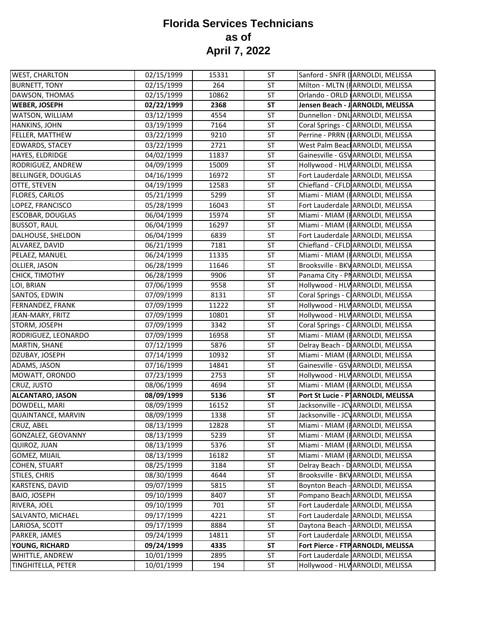| <b>WEST, CHARLTON</b>     | 02/15/1999 | 15331 | <b>ST</b> | Sanford - SNFR (ARNOLDI, MELISSA    |
|---------------------------|------------|-------|-----------|-------------------------------------|
| <b>BURNETT, TONY</b>      | 02/15/1999 | 264   | ST        | Milton - MLTN (FARNOLDI, MELISSA    |
| DAWSON, THOMAS            | 02/15/1999 | 10862 | <b>ST</b> | Orlando - ORLD (ARNOLDI, MELISSA    |
| <b>WEBER, JOSEPH</b>      | 02/22/1999 | 2368  | <b>ST</b> | Jensen Beach - J ARNOLDI, MELISSA   |
| WATSON, WILLIAM           | 03/12/1999 | 4554  | ST        | Dunnellon - DNL ARNOLDI, MELISSA    |
| HANKINS, JOHN             | 03/19/1999 | 7164  | <b>ST</b> | Coral Springs - C ARNOLDI, MELISSA  |
| FELLER, MATTHEW           | 03/22/1999 | 9210  | <b>ST</b> | Perrine - PRRN (IARNOLDI, MELISSA   |
| <b>EDWARDS, STACEY</b>    | 03/22/1999 | 2721  | <b>ST</b> | West Palm Beacl ARNOLDI, MELISSA    |
| HAYES, ELDRIDGE           | 04/02/1999 | 11837 | ST        | Gainesville - GSV ARNOLDI, MELISSA  |
| RODRIGUEZ, ANDREW         | 04/09/1999 | 15009 | ST        | Hollywood - HLV ARNOLDI, MELISSA    |
| <b>BELLINGER, DOUGLAS</b> | 04/16/1999 | 16972 | ST        | Fort Lauderdale ARNOLDI, MELISSA    |
| OTTE, STEVEN              | 04/19/1999 | 12583 | ST        | Chiefland - CFLD ARNOLDI, MELISSA   |
| <b>FLORES, CARLOS</b>     | 05/21/1999 | 5299  | ST        | Miami - MIAM (FARNOLDI, MELISSA     |
| LOPEZ, FRANCISCO          | 05/28/1999 | 16043 | <b>ST</b> | Fort Lauderdale ARNOLDI, MELISSA    |
| <b>ESCOBAR, DOUGLAS</b>   | 06/04/1999 | 15974 | ST        | Miami - MIAM (IARNOLDI, MELISSA     |
| <b>BUSSOT, RAUL</b>       | 06/04/1999 | 16297 | ST        | Miami - MIAM (FARNOLDI, MELISSA     |
| DALHOUSE, SHELDON         | 06/04/1999 | 6839  | ST        | Fort Lauderdale ARNOLDI, MELISSA    |
| ALVAREZ, DAVID            | 06/21/1999 | 7181  | ST        | Chiefland - CFLD ARNOLDI, MELISSA   |
| PELAEZ, MANUEL            | 06/24/1999 | 11335 | ST        | Miami - MIAM (FARNOLDI, MELISSA     |
| OLLIER, JASON             | 06/28/1999 | 11646 | ST        | Brooksville - BKV ARNOLDI, MELISSA  |
| CHICK, TIMOTHY            | 06/28/1999 | 9906  | ST        | Panama City - PNARNOLDI, MELISSA    |
| LOI, BRIAN                | 07/06/1999 | 9558  | <b>ST</b> | Hollywood - HLV ARNOLDI, MELISSA    |
| SANTOS, EDWIN             | 07/09/1999 | 8131  | ST        | Coral Springs - C ARNOLDI, MELISSA  |
| FERNANDEZ, FRANK          | 07/09/1999 | 11222 | ST        | Hollywood - HLV ARNOLDI, MELISSA    |
| JEAN-MARY, FRITZ          | 07/09/1999 | 10801 | ST        | Hollywood - HLV ARNOLDI, MELISSA    |
| STORM, JOSEPH             | 07/09/1999 | 3342  | <b>ST</b> | Coral Springs - C ARNOLDI, MELISSA  |
| RODRIGUEZ, LEONARDO       | 07/09/1999 | 16958 | ST        | Miami - MIAM (FARNOLDI, MELISSA     |
| MARTIN, SHANE             | 07/12/1999 | 5876  | ST        | Delray Beach - D ARNOLDI, MELISSA   |
| DZUBAY, JOSEPH            | 07/14/1999 | 10932 | ST        | Miami - MIAM (IARNOLDI, MELISSA     |
| ADAMS, JASON              | 07/16/1999 | 14841 | ST        | Gainesville - GSV ARNOLDI, MELISSA  |
| MOWATT, ORONDO            | 07/23/1999 | 2753  | <b>ST</b> | Hollywood - HLV ARNOLDI, MELISSA    |
| CRUZ, JUSTO               | 08/06/1999 | 4694  | <b>ST</b> | Miami - MIAM (FARNOLDI, MELISSA     |
| <b>ALCANTARO, JASON</b>   | 08/09/1999 | 5136  | <b>ST</b> | Port St Lucie - PARNOLDI, MELISSA   |
| DOWDELL, MARI             | 08/09/1999 | 16152 | ST        | Jacksonville - JCV ARNOLDI, MELISSA |
| <b>QUAINTANCE, MARVIN</b> | 08/09/1999 | 1338  | <b>ST</b> | Jacksonville - JCV ARNOLDI, MELISSA |
| <b>CRUZ, ABEL</b>         | 08/13/1999 | 12828 | ST        | Miami - MIAM (IARNOLDI, MELISSA     |
| GONZALEZ, GEOVANNY        | 08/13/1999 | 5239  | <b>ST</b> | Miami - MIAM (FARNOLDI, MELISSA     |
| QUIROZ, JUAN              | 08/13/1999 | 5376  | ST        | Miami - MIAM (FARNOLDI, MELISSA     |
| <b>GOMEZ, MIJAIL</b>      | 08/13/1999 | 16182 | ST        | Miami - MIAM (FARNOLDI, MELISSA     |
| COHEN, STUART             | 08/25/1999 | 3184  | ST        | Delray Beach - D ARNOLDI, MELISSA   |
| STILES, CHRIS             | 08/30/1999 | 4644  | ST        | Brooksville - BKV ARNOLDI, MELISSA  |
| KARSTENS, DAVID           | 09/07/1999 | 5815  | <b>ST</b> | Boynton Beach - ARNOLDI, MELISSA    |
| <b>BAIO, JOSEPH</b>       | 09/10/1999 | 8407  | ST        | Pompano Beach ARNOLDI, MELISSA      |
| RIVERA, JOEL              | 09/10/1999 | 701   | ST        | Fort Lauderdale ARNOLDI, MELISSA    |
| SALVANTO, MICHAEL         | 09/17/1999 | 4221  | ST        | Fort Lauderdale ARNOLDI, MELISSA    |
| LARIOSA, SCOTT            | 09/17/1999 | 8884  | ST        | Daytona Beach - ARNOLDI, MELISSA    |
| PARKER, JAMES             | 09/24/1999 | 14811 | ST        | Fort Lauderdale ARNOLDI, MELISSA    |
| YOUNG, RICHARD            | 09/24/1999 | 4335  | <b>ST</b> | Fort Pierce - FTP ARNOLDI, MELISSA  |
| WHITTLE, ANDREW           | 10/01/1999 | 2895  | <b>ST</b> | Fort Lauderdale ARNOLDI, MELISSA    |
| TINGHITELLA, PETER        | 10/01/1999 | 194   | ST        | Hollywood - HLV ARNOLDI, MELISSA    |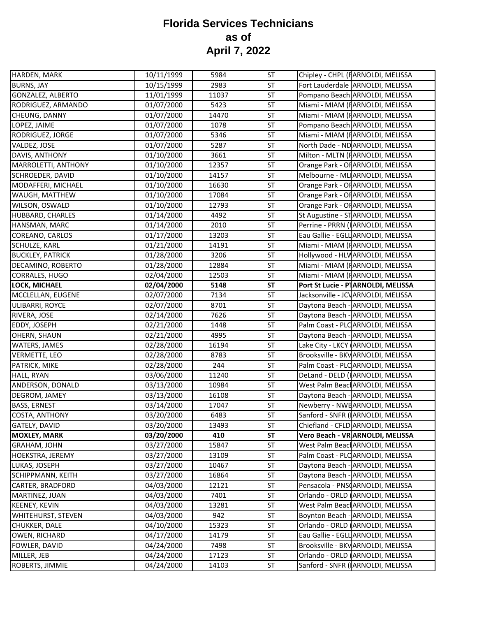| HARDEN, MARK            | 10/11/1999 | 5984  | <b>ST</b> | Chipley - CHPL (FARNOLDI, MELISSA   |
|-------------------------|------------|-------|-----------|-------------------------------------|
| <b>BURNS, JAY</b>       | 10/15/1999 | 2983  | ST        | Fort Lauderdale ARNOLDI, MELISSA    |
| GONZALEZ, ALBERTO       | 11/01/1999 | 11037 | ST        | Pompano Beach ARNOLDI, MELISSA      |
| RODRIGUEZ, ARMANDO      | 01/07/2000 | 5423  | ST        | Miami - MIAM (I ARNOLDI, MELISSA    |
| CHEUNG, DANNY           | 01/07/2000 | 14470 | <b>ST</b> | Miami - MIAM (I ARNOLDI, MELISSA    |
| LOPEZ, JAIME            | 01/07/2000 | 1078  | ST        | Pompano Beach ARNOLDI, MELISSA      |
| RODRIGUEZ, JORGE        | 01/07/2000 | 5346  | ST        | Miami - MIAM (IARNOLDI, MELISSA     |
| VALDEZ, JOSE            | 01/07/2000 | 5287  | <b>ST</b> | North Dade - ND ARNOLDI, MELISSA    |
| DAVIS, ANTHONY          | 01/10/2000 | 3661  | <b>ST</b> | Milton - MLTN (FARNOLDI, MELISSA    |
| MARROLETTI, ANTHONY     | 01/10/2000 | 12357 | ST        | Orange Park - OF ARNOLDI, MELISSA   |
| SCHROEDER, DAVID        | 01/10/2000 | 14157 | ST        | Melbourne - ML ARNOLDI, MELISSA     |
| MODAFFERI, MICHAEL      | 01/10/2000 | 16630 | ST        | Orange Park - OF ARNOLDI, MELISSA   |
| WAUGH, MATTHEW          | 01/10/2000 | 17084 | <b>ST</b> | Orange Park - OF ARNOLDI, MELISSA   |
| WILSON, OSWALD          | 01/10/2000 | 12793 | ST        | Orange Park - OF ARNOLDI, MELISSA   |
| HUBBARD, CHARLES        | 01/14/2000 | 4492  | ST        | St Augustine - ST ARNOLDI, MELISSA  |
| HANSMAN, MARC           | 01/14/2000 | 2010  | <b>ST</b> | Perrine - PRRN (IARNOLDI, MELISSA   |
| COREANO, CARLOS         | 01/17/2000 | 13203 | ST        | Eau Gallie - EGLL ARNOLDI, MELISSA  |
| SCHULZE, KARL           | 01/21/2000 | 14191 | ST        | Miami - MIAM (FARNOLDI, MELISSA     |
| <b>BUCKLEY, PATRICK</b> | 01/28/2000 | 3206  | ST        | Hollywood - HLV ARNOLDI, MELISSA    |
| DECAMINO, ROBERTO       | 01/28/2000 | 12884 | ST        | Miami - MIAM (IARNOLDI, MELISSA     |
| CORRALES, HUGO          | 02/04/2000 | 12503 | ST        | Miami - MIAM (FARNOLDI, MELISSA     |
| LOCK, MICHAEL           | 02/04/2000 | 5148  | <b>ST</b> | Port St Lucie - P ARNOLDI, MELISSA  |
| MCCLELLAN, EUGENE       | 02/07/2000 | 7134  | <b>ST</b> | Jacksonville - JCV ARNOLDI, MELISSA |
| ULIBARRI, ROYCE         | 02/07/2000 | 8701  | ST        | Daytona Beach - ARNOLDI, MELISSA    |
| RIVERA, JOSE            | 02/14/2000 | 7626  | ST        | Daytona Beach - ARNOLDI, MELISSA    |
| EDDY, JOSEPH            | 02/21/2000 | 1448  | <b>ST</b> | Palm Coast - PLC ARNOLDI, MELISSA   |
| OHERN, SHAUN            | 02/21/2000 | 4995  | <b>ST</b> | Daytona Beach - ARNOLDI, MELISSA    |
| WATERS, JAMES           | 02/28/2000 | 16194 | ST        | Lake City - LKCY ARNOLDI, MELISSA   |
| VERMETTE, LEO           | 02/28/2000 | 8783  | <b>ST</b> | Brooksville - BKV ARNOLDI, MELISSA  |
| PATRICK, MIKE           | 02/28/2000 | 244   | <b>ST</b> | Palm Coast - PLC ARNOLDI, MELISSA   |
| HALL, RYAN              | 03/06/2000 | 11240 | ST        | DeLand - DELD (IARNOLDI, MELISSA    |
| ANDERSON, DONALD        | 03/13/2000 | 10984 | ST        | West Palm Beacl ARNOLDI, MELISSA    |
| DEGROM, JAMEY           | 03/13/2000 | 16108 | ST        | Daytona Beach - ARNOLDI, MELISSA    |
| <b>BASS, ERNEST</b>     | 03/14/2000 | 17047 | ST        | Newberry - NWEARNOLDI, MELISSA      |
| COSTA, ANTHONY          | 03/20/2000 | 6483  | <b>ST</b> | Sanford - SNFR (ARNOLDI, MELISSA    |
| GATELY, DAVID           | 03/20/2000 | 13493 | <b>ST</b> | Chiefland - CFLD ARNOLDI, MELISSA   |
| <b>MOXLEY, MARK</b>     | 03/20/2000 | 410   | <b>ST</b> | Vero Beach - VR ARNOLDI, MELISSA    |
| <b>GRAHAM, JOHN</b>     | 03/27/2000 | 15847 | ST        | West Palm Beacl ARNOLDI, MELISSA    |
| HOEKSTRA, JEREMY        | 03/27/2000 | 13109 | ST        | Palm Coast - PLOARNOLDI, MELISSA    |
| LUKAS, JOSEPH           | 03/27/2000 | 10467 | ST        | Daytona Beach - ARNOLDI, MELISSA    |
| SCHIPPMANN, KEITH       | 03/27/2000 | 16864 | ST        | Daytona Beach - ARNOLDI, MELISSA    |
| CARTER, BRADFORD        | 04/03/2000 | 12121 | ST        | Pensacola - PNSCARNOLDI, MELISSA    |
| MARTINEZ, JUAN          | 04/03/2000 | 7401  | ST        | Orlando - ORLD (ARNOLDI, MELISSA    |
| <b>KEENEY, KEVIN</b>    | 04/03/2000 | 13281 | <b>ST</b> | West Palm Beacl ARNOLDI, MELISSA    |
| WHITEHURST, STEVEN      | 04/03/2000 | 942   | ST        | Boynton Beach - ARNOLDI, MELISSA    |
| CHUKKER, DALE           | 04/10/2000 | 15323 | ST        | Orlando - ORLD (ARNOLDI, MELISSA    |
| OWEN, RICHARD           | 04/17/2000 | 14179 | ST        | Eau Gallie - EGLL ARNOLDI, MELISSA  |
| FOWLER, DAVID           | 04/24/2000 | 7498  | ST        | Brooksville - BKV ARNOLDI, MELISSA  |
| MILLER, JEB             | 04/24/2000 | 17123 | ST        | Orlando - ORLD ARNOLDI, MELISSA     |
| ROBERTS, JIMMIE         | 04/24/2000 | 14103 | ST        | Sanford - SNFR (ARNOLDI, MELISSA    |
|                         |            |       |           |                                     |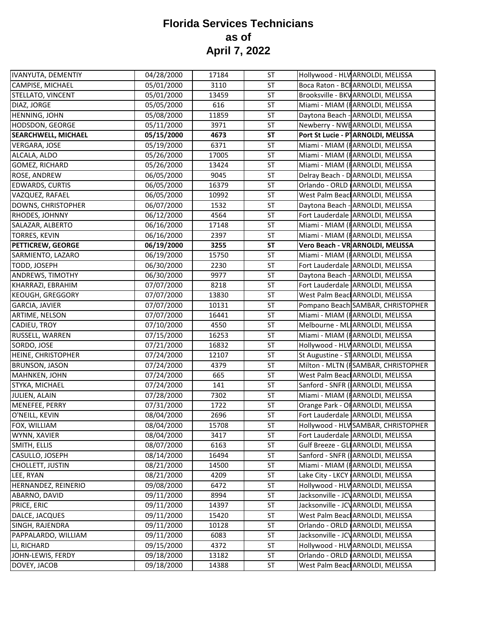| IVANYUTA, DEMENTIY         | 04/28/2000 | 17184 | <b>ST</b> | Hollywood - HLV ARNOLDI, MELISSA    |
|----------------------------|------------|-------|-----------|-------------------------------------|
| CAMPISE, MICHAEL           | 05/01/2000 | 3110  | ST        | Boca Raton - BCI ARNOLDI, MELISSA   |
| STELLATO, VINCENT          | 05/01/2000 | 13459 | <b>ST</b> | Brooksville - BKV ARNOLDI, MELISSA  |
| DIAZ, JORGE                | 05/05/2000 | 616   | ST        | Miami - MIAM (I ARNOLDI, MELISSA    |
| HENNING, JOHN              | 05/08/2000 | 11859 | ST        | Daytona Beach - ARNOLDI, MELISSA    |
| <b>HODSDON, GEORGE</b>     | 05/11/2000 | 3971  | ST        | Newberry - NWEARNOLDI, MELISSA      |
| <b>SEARCHWELL, MICHAEL</b> | 05/15/2000 | 4673  | <b>ST</b> | Port St Lucie - P ARNOLDI, MELISSA  |
| <b>VERGARA, JOSE</b>       | 05/19/2000 | 6371  | ST        | Miami - MIAM (FARNOLDI, MELISSA     |
| ALCALA, ALDO               | 05/26/2000 | 17005 | <b>ST</b> | Miami - MIAM (IARNOLDI, MELISSA     |
| GOMEZ, RICHARD             | 05/26/2000 | 13424 | <b>ST</b> | Miami - MIAM (FARNOLDI, MELISSA     |
| ROSE, ANDREW               | 06/05/2000 | 9045  | <b>ST</b> | Delray Beach - D ARNOLDI, MELISSA   |
| <b>EDWARDS, CURTIS</b>     | 06/05/2000 | 16379 | <b>ST</b> | Orlando - ORLD ARNOLDI, MELISSA     |
| VAZQUEZ, RAFAEL            | 06/05/2000 | 10992 | ST        | West Palm Beacl ARNOLDI, MELISSA    |
| DOWNS, CHRISTOPHER         | 06/07/2000 | 1532  | ST        | Daytona Beach - ARNOLDI, MELISSA    |
| RHODES, JOHNNY             | 06/12/2000 | 4564  | <b>ST</b> | Fort Lauderdale ARNOLDI, MELISSA    |
| SALAZAR, ALBERTO           | 06/16/2000 | 17148 | ST        | Miami - MIAM (FARNOLDI, MELISSA     |
| TORRES, KEVIN              | 06/16/2000 | 2397  | <b>ST</b> | Miami - MIAM (FARNOLDI, MELISSA     |
| PETTICREW, GEORGE          | 06/19/2000 | 3255  | <b>ST</b> | Vero Beach - VR ARNOLDI, MELISSA    |
| SARMIENTO, LAZARO          | 06/19/2000 | 15750 | <b>ST</b> | Miami - MIAM (IARNOLDI, MELISSA     |
| TODD, JOSEPH               | 06/30/2000 | 2230  | <b>ST</b> | Fort Lauderdale ARNOLDI, MELISSA    |
| <b>ANDREWS, TIMOTHY</b>    | 06/30/2000 | 9977  | <b>ST</b> | Daytona Beach - ARNOLDI, MELISSA    |
| KHARRAZI, EBRAHIM          | 07/07/2000 | 8218  | ST        | Fort Lauderdale ARNOLDI, MELISSA    |
| <b>KEOUGH, GREGGORY</b>    | 07/07/2000 | 13830 | <b>ST</b> | West Palm Beac ARNOLDI, MELISSA     |
| <b>GARCIA, JAVIER</b>      | 07/07/2000 | 10131 | <b>ST</b> | Pompano Beach SAMBAR, CHRISTOPHER   |
| ARTIME, NELSON             | 07/07/2000 | 16441 | <b>ST</b> | Miami - MIAM (I ARNOLDI, MELISSA    |
| CADIEU, TROY               | 07/10/2000 | 4550  | <b>ST</b> | Melbourne - ML ARNOLDI, MELISSA     |
| RUSSELL, WARREN            | 07/15/2000 | 16253 | <b>ST</b> | Miami - MIAM (FARNOLDI, MELISSA     |
| SORDO, JOSE                | 07/21/2000 | 16832 | <b>ST</b> | Hollywood - HLV ARNOLDI, MELISSA    |
| HEINE, CHRISTOPHER         | 07/24/2000 | 12107 | <b>ST</b> | St Augustine - ST ARNOLDI, MELISSA  |
| <b>BRUNSON, JASON</b>      | 07/24/2000 | 4379  | ST        | Milton - MLTN (FSAMBAR, CHRISTOPHER |
| MAHNKEN, JOHN              | 07/24/2000 | 665   | ST        | West Palm Beacl ARNOLDI, MELISSA    |
| STYKA, MICHAEL             | 07/24/2000 | 141   | <b>ST</b> | Sanford - SNFR (ARNOLDI, MELISSA    |
| JULIEN, ALAIN              | 07/28/2000 | 7302  | <b>ST</b> | Miami - MIAM (IARNOLDI, MELISSA     |
| MENEFEE, PERRY             | 07/31/2000 | 1722  | <b>ST</b> | Orange Park - OF ARNOLDI, MELISSA   |
| O'NEILL, KEVIN             | 08/04/2000 | 2696  | ST        | Fort Lauderdale ARNOLDI, MELISSA    |
| FOX, WILLIAM               | 08/04/2000 | 15708 | <b>ST</b> | Hollywood - HLV SAMBAR, CHRISTOPHER |
| WYNN, XAVIER               | 08/04/2000 | 3417  | <b>ST</b> | Fort Lauderdale ARNOLDI, MELISSA    |
| SMITH, ELLIS               | 08/07/2000 | 6163  | ST        | Gulf Breeze - GLI ARNOLDI, MELISSA  |
| CASULLO, JOSEPH            | 08/14/2000 | 16494 | ST        | Sanford - SNFR (ARNOLDI, MELISSA    |
| CHOLLETT, JUSTIN           | 08/21/2000 | 14500 | ST        | Miami - MIAM (FARNOLDI, MELISSA     |
| LEE, RYAN                  | 08/21/2000 | 4209  | ST        | Lake City - LKCY ARNOLDI, MELISSA   |
| HERNANDEZ, REINERIO        | 09/08/2000 | 6472  | ST        | Hollywood - HLV ARNOLDI, MELISSA    |
| ABARNO, DAVID              | 09/11/2000 | 8994  | ST        | Jacksonville - JCV ARNOLDI, MELISSA |
| PRICE, ERIC                | 09/11/2000 | 14397 | ST        | Jacksonville - JCV ARNOLDI, MELISSA |
| DALCE, JACQUES             | 09/11/2000 | 15420 | ST        | West Palm Beacl ARNOLDI, MELISSA    |
| SINGH, RAJENDRA            | 09/11/2000 | 10128 | ST        | Orlando - ORLD ARNOLDI, MELISSA     |
| PAPPALARDO, WILLIAM        | 09/11/2000 | 6083  | ST        | Jacksonville - JCV ARNOLDI, MELISSA |
| LI, RICHARD                | 09/15/2000 | 4372  | <b>ST</b> | Hollywood - HLV ARNOLDI, MELISSA    |
| JOHN-LEWIS, FERDY          | 09/18/2000 | 13182 | ST        | Orlando - ORLD ARNOLDI, MELISSA     |
| DOVEY, JACOB               | 09/18/2000 | 14388 | ST        | West Palm Beacl ARNOLDI, MELISSA    |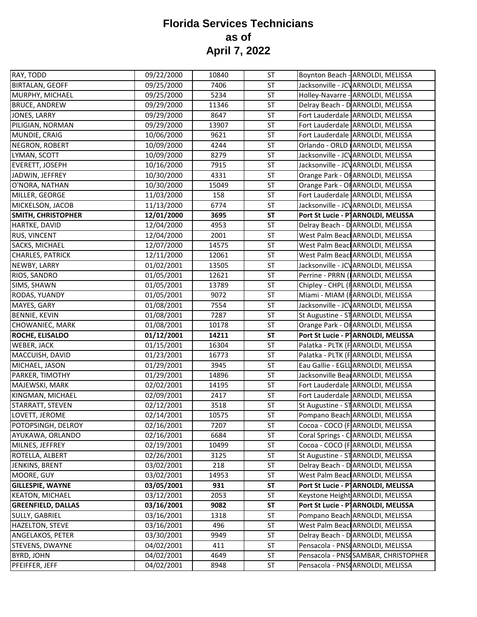| RAY, TODD                 | 09/22/2000 | 10840 | <b>ST</b> | Boynton Beach - ARNOLDI, MELISSA                |
|---------------------------|------------|-------|-----------|-------------------------------------------------|
| <b>BIRTALAN, GEOFF</b>    | 09/25/2000 | 7406  | ST        | Jacksonville - JCV ARNOLDI, MELISSA             |
| MURPHY, MICHAEL           | 09/25/2000 | 5234  | <b>ST</b> | Holley-Navarre - ARNOLDI, MELISSA               |
| <b>BRUCE, ANDREW</b>      | 09/29/2000 | 11346 | ST        | Delray Beach - D ARNOLDI, MELISSA               |
| JONES, LARRY              | 09/29/2000 | 8647  | ST        | Fort Lauderdale ARNOLDI, MELISSA                |
| PILIGIAN, NORMAN          | 09/29/2000 | 13907 | ST        | Fort Lauderdale ARNOLDI, MELISSA                |
| MUNDIE, CRAIG             | 10/06/2000 | 9621  | ST        | Fort Lauderdale ARNOLDI, MELISSA                |
| NEGRON, ROBERT            | 10/09/2000 | 4244  | ST        | Orlando - ORLD ARNOLDI, MELISSA                 |
| LYMAN, SCOTT              | 10/09/2000 | 8279  | <b>ST</b> | Jacksonville - JCV ARNOLDI, MELISSA             |
| <b>EVERETT, JOSEPH</b>    | 10/16/2000 | 7915  | <b>ST</b> | Jacksonville - JCV ARNOLDI, MELISSA             |
| JADWIN, JEFFREY           | 10/30/2000 | 4331  | <b>ST</b> | Orange Park - OF ARNOLDI, MELISSA               |
| O'NORA, NATHAN            | 10/30/2000 | 15049 | ST        | Orange Park - OF ARNOLDI, MELISSA               |
| MILLER, GEORGE            | 11/03/2000 | 158   | ST        | Fort Lauderdale ARNOLDI, MELISSA                |
| MICKELSON, JACOB          | 11/13/2000 | 6774  | ST        | Jacksonville - JCV ARNOLDI, MELISSA             |
| <b>SMITH, CHRISTOPHER</b> | 12/01/2000 | 3695  | <b>ST</b> | Port St Lucie - P ARNOLDI, MELISSA              |
| HARTKE, DAVID             | 12/04/2000 | 4953  | ST        | Delray Beach - D ARNOLDI, MELISSA               |
| <b>RUS, VINCENT</b>       | 12/04/2000 | 2001  | <b>ST</b> | West Palm Beacl ARNOLDI, MELISSA                |
| SACKS, MICHAEL            | 12/07/2000 | 14575 | <b>ST</b> | West Palm Beac ARNOLDI, MELISSA                 |
| CHARLES, PATRICK          | 12/11/2000 | 12061 | <b>ST</b> | West Palm Beacl ARNOLDI, MELISSA                |
| NEWBY, LARRY              | 01/02/2001 | 13505 | ST        | Jacksonville - JCV ARNOLDI, MELISSA             |
| RIOS, SANDRO              | 01/05/2001 | 12621 | ST        | Perrine - PRRN (IARNOLDI, MELISSA               |
| SIMS, SHAWN               | 01/05/2001 | 13789 | ST        | Chipley - CHPL (FARNOLDI, MELISSA               |
| RODAS, YUANDY             | 01/05/2001 | 9072  | ST        | Miami - MIAM (FARNOLDI, MELISSA                 |
| MAYES, GARY               | 01/08/2001 | 7554  | <b>ST</b> | Jacksonville - JCV ARNOLDI, MELISSA             |
| <b>BENNIE, KEVIN</b>      | 01/08/2001 | 7287  | <b>ST</b> | St Augustine - ST ARNOLDI, MELISSA              |
| CHOWANIEC, MARK           | 01/08/2001 | 10178 | <b>ST</b> | Orange Park - OF ARNOLDI, MELISSA               |
| ROCHE, ELISALDO           | 01/12/2001 | 14211 | <b>ST</b> | Port St Lucie - P ARNOLDI, MELISSA              |
| WEBER, JACK               | 01/15/2001 | 16304 | ST        | Palatka - PLTK (FARNOLDI, MELISSA               |
| MACCUISH, DAVID           | 01/23/2001 | 16773 | <b>ST</b> | Palatka - PLTK (FARNOLDI, MELISSA               |
| MICHAEL, JASON            | 01/29/2001 | 3945  | ST        | Eau Gallie - EGLL ARNOLDI, MELISSA              |
| PARKER, TIMOTHY           | 01/29/2001 | 14896 | ST        | Jacksonville Bear ARNOLDI, MELISSA              |
| MAJEWSKI, MARK            | 02/02/2001 | 14195 | <b>ST</b> | Fort Lauderdale ARNOLDI, MELISSA                |
| KINGMAN, MICHAEL          | 02/09/2001 | 2417  | <b>ST</b> | Fort Lauderdale ARNOLDI, MELISSA                |
| STARRATT, STEVEN          | 02/12/2001 | 3518  | <b>ST</b> | St Augustine - ST ARNOLDI, MELISSA              |
| LOVETT, JEROME            | 02/14/2001 | 10575 | ST        | Pompano Beach ARNOLDI, MELISSA                  |
| POTOPSINGH, DELROY        | 02/16/2001 | 7207  | <b>ST</b> | Cocoa - COCO (FARNOLDI, MELISSA                 |
| AYUKAWA, ORLANDO          | 02/16/2001 | 6684  | ST        | Coral Springs - CARNOLDI, MELISSA               |
| MILNES, JEFFREY           | 02/19/2001 | 10499 | ST        | Cocoa - COCO (FARNOLDI, MELISSA                 |
| ROTELLA, ALBERT           | 02/26/2001 | 3125  | ST        | St Augustine - ST ARNOLDI, MELISSA              |
| JENKINS, BRENT            | 03/02/2001 | 218   | ST        | Delray Beach - D ARNOLDI, MELISSA               |
| MOORE, GUY                | 03/02/2001 | 14953 | ST        | West Palm Beacl ARNOLDI, MELISSA                |
| <b>GILLESPIE, WAYNE</b>   | 03/05/2001 | 931   | <b>ST</b> | Port St Lucie - P ARNOLDI, MELISSA              |
| <b>KEATON, MICHAEL</b>    | 03/12/2001 | 2053  | ST        | Keystone Height ARNOLDI, MELISSA                |
| <b>GREENFIELD, DALLAS</b> | 03/16/2001 | 9082  | <b>ST</b> | Port St Lucie - P <sup>1</sup> ARNOLDI, MELISSA |
| SULLY, GABRIEL            | 03/16/2001 | 1318  | ST        | Pompano Beach ARNOLDI, MELISSA                  |
| <b>HAZELTON, STEVE</b>    | 03/16/2001 | 496   | ST        | West Palm Beacl ARNOLDI, MELISSA                |
| ANGELAKOS, PETER          | 03/30/2001 | 9949  | ST        | Delray Beach - D ARNOLDI, MELISSA               |
| STEVENS, DWAYNE           | 04/02/2001 | 411   | ST        | Pensacola - PNSCARNOLDI, MELISSA                |
| <b>BYRD, JOHN</b>         | 04/02/2001 | 4649  | ST        | Pensacola - PNSCSAMBAR, CHRISTOPHER             |
| PFEIFFER, JEFF            | 04/02/2001 | 8948  | ST        | Pensacola - PNSCARNOLDI, MELISSA                |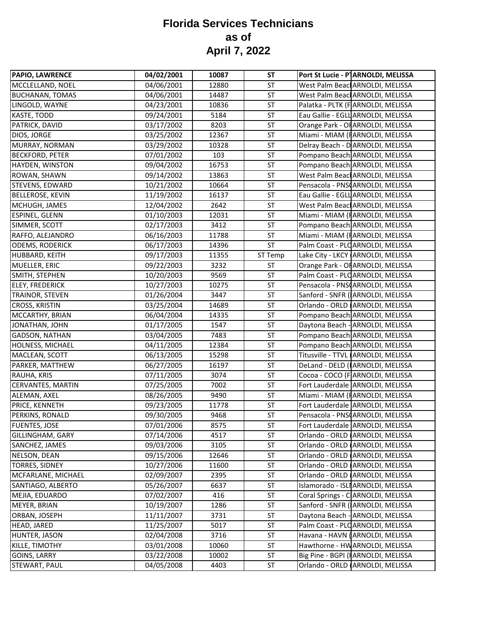| 04/06/2001<br>12880<br>ST<br>West Palm Beac ARNOLDI, MELISSA<br>MCCLELLAND, NOEL<br>04/06/2001<br>14487<br>ST<br>West Palm Beacl ARNOLDI, MELISSA<br>Palatka - PLTK (FARNOLDI, MELISSA<br>LINGOLD, WAYNE<br>04/23/2001<br>10836<br><b>ST</b><br>Eau Gallie - EGLL ARNOLDI, MELISSA<br>09/24/2001<br>5184<br><b>ST</b><br>Orange Park - OF ARNOLDI, MELISSA<br>03/17/2002<br>8203<br><b>ST</b><br>12367<br><b>ST</b><br>Miami - MIAM (FARNOLDI, MELISSA<br>03/25/2002<br>Delray Beach - D ARNOLDI, MELISSA<br><b>ST</b><br>03/29/2002<br>10328<br>ST<br>Pompano Beach ARNOLDI, MELISSA<br>07/01/2002<br>103<br>Pompano Beach ARNOLDI, MELISSA<br>09/04/2002<br>16753<br>ST<br><b>ST</b><br>West Palm Beacl ARNOLDI, MELISSA<br>ROWAN, SHAWN<br>09/14/2002<br>13863<br>Pensacola - PNSCARNOLDI, MELISSA<br>10/21/2002<br>10664<br>ST<br>Eau Gallie - EGLL ARNOLDI, MELISSA<br>11/19/2002<br>16137<br>ST<br>West Palm Beacl ARNOLDI, MELISSA<br>12/04/2002<br>2642<br>ST<br>ST<br>Miami - MIAM (IARNOLDI, MELISSA<br>01/10/2003<br>12031<br>3412<br><b>ST</b><br>Pompano Beach ARNOLDI, MELISSA<br>02/17/2003<br>Miami - MIAM (FARNOLDI, MELISSA<br>RAFFO, ALEJANDRO<br>06/16/2003<br>11788<br>ST<br>06/17/2003<br><b>ST</b><br>Palm Coast - PLC ARNOLDI, MELISSA<br><b>ODEMS, RODERICK</b><br>14396<br>Lake City - LKCY ARNOLDI, MELISSA<br>09/17/2003<br>11355<br>ST Temp<br>3232<br><b>ST</b><br>Orange Park - OF ARNOLDI, MELISSA<br>09/22/2003<br>Palm Coast - PLO ARNOLDI, MELISSA<br>10/20/2003<br>9569<br><b>ST</b><br>ST<br>10275<br>Pensacola - PNSCARNOLDI, MELISSA<br>10/27/2003<br>3447<br><b>ST</b><br>Sanford - SNFR (ARNOLDI, MELISSA<br>TRAINOR, STEVEN<br>01/26/2004<br><b>CROSS, KRISTIN</b><br>03/25/2004<br>14689<br>ST<br>Orlando - ORLD ARNOLDI, MELISSA<br>14335<br><b>ST</b><br>Pompano Beach ARNOLDI, MELISSA<br>MCCARTHY, BRIAN<br>06/04/2004<br>01/17/2005<br>Daytona Beach - ARNOLDI, MELISSA<br>JONATHAN, JOHN<br>1547<br>ST<br>ST<br>Pompano Beach ARNOLDI, MELISSA<br><b>GADSON, NATHAN</b><br>03/04/2005<br>7483<br>Pompano Beach ARNOLDI, MELISSA<br>04/11/2005<br>12384<br>ST<br>ST<br>MACLEAN, SCOTT<br>06/13/2005<br>15298<br>Titusville - TTVL (ARNOLDI, MELISSA<br>DeLand - DELD (ARNOLDI, MELISSA<br>06/27/2005<br>16197<br>ST<br>Cocoa - COCO (FARNOLDI, MELISSA<br>07/11/2005<br>ST<br>3074<br>Fort Lauderdale ARNOLDI, MELISSA<br><b>CERVANTES, MARTIN</b><br>07/25/2005<br>7002<br>ST<br>Miami - MIAM (FARNOLDI, MELISSA<br>08/26/2005<br>9490<br>ST<br>11778<br>ST<br>Fort Lauderdale ARNOLDI, MELISSA<br>09/23/2005<br>ST<br>Pensacola - PNSCARNOLDI, MELISSA<br>09/30/2005<br>9468<br>07/01/2006<br>ST<br>Fort Lauderdale ARNOLDI, MELISSA<br>8575<br><b>ST</b><br>Orlando - ORLD ARNOLDI, MELISSA<br>07/14/2006<br>4517<br>09/03/2006<br>3105<br>ST<br>Orlando - ORLD ARNOLDI, MELISSA<br>09/15/2006<br>12646<br>Orlando - ORLD (ARNOLDI, MELISSA<br>ST<br>TORRES, SIDNEY<br>10/27/2006<br>11600<br><b>ST</b><br>Orlando - ORLD ARNOLDI, MELISSA<br>02/09/2007<br>ST<br>Orlando - ORLD ARNOLDI, MELISSA<br>2395<br>ST<br>05/26/2007<br>6637<br>Islamorado - ISLI ARNOLDI, MELISSA<br>ST<br>07/02/2007<br>416<br>Coral Springs - C ARNOLDI, MELISSA<br>Sanford - SNFR (ARNOLDI, MELISSA<br>10/19/2007<br>1286<br>ST<br>ORBAN, JOSEPH<br>11/11/2007<br>3731<br>ST<br>Daytona Beach - ARNOLDI, MELISSA<br>11/25/2007<br>Palm Coast - PLOARNOLDI, MELISSA<br>5017<br>ST<br>02/04/2008<br>3716<br>ST<br>Havana - HAVN (ARNOLDI, MELISSA<br>Hawthorne - HW ARNOLDI, MELISSA<br>03/01/2008<br>10060<br>ST<br>03/22/2008<br>ST<br>Big Pine - BGPI (IARNOLDI, MELISSA<br>10002<br>04/05/2008<br>Orlando - ORLD ARNOLDI, MELISSA<br>STEWART, PAUL<br>ST<br>4403 | <b>PAPIO, LAWRENCE</b>  | 04/02/2001 | 10087 | <b>ST</b> | Port St Lucie - P <sup>1</sup> ARNOLDI, MELISSA |
|----------------------------------------------------------------------------------------------------------------------------------------------------------------------------------------------------------------------------------------------------------------------------------------------------------------------------------------------------------------------------------------------------------------------------------------------------------------------------------------------------------------------------------------------------------------------------------------------------------------------------------------------------------------------------------------------------------------------------------------------------------------------------------------------------------------------------------------------------------------------------------------------------------------------------------------------------------------------------------------------------------------------------------------------------------------------------------------------------------------------------------------------------------------------------------------------------------------------------------------------------------------------------------------------------------------------------------------------------------------------------------------------------------------------------------------------------------------------------------------------------------------------------------------------------------------------------------------------------------------------------------------------------------------------------------------------------------------------------------------------------------------------------------------------------------------------------------------------------------------------------------------------------------------------------------------------------------------------------------------------------------------------------------------------------------------------------------------------------------------------------------------------------------------------------------------------------------------------------------------------------------------------------------------------------------------------------------------------------------------------------------------------------------------------------------------------------------------------------------------------------------------------------------------------------------------------------------------------------------------------------------------------------------------------------------------------------------------------------------------------------------------------------------------------------------------------------------------------------------------------------------------------------------------------------------------------------------------------------------------------------------------------------------------------------------------------------------------------------------------------------------------------------------------------------------------------------------------------------------------------------------------------------------------------------------------------------------------------------------------------------------------------------------------------------------------------------------------------------------------------------------------------------------------------------------------------------------------------------------------------------------------------------------------------------------------------------|-------------------------|------------|-------|-----------|-------------------------------------------------|
|                                                                                                                                                                                                                                                                                                                                                                                                                                                                                                                                                                                                                                                                                                                                                                                                                                                                                                                                                                                                                                                                                                                                                                                                                                                                                                                                                                                                                                                                                                                                                                                                                                                                                                                                                                                                                                                                                                                                                                                                                                                                                                                                                                                                                                                                                                                                                                                                                                                                                                                                                                                                                                                                                                                                                                                                                                                                                                                                                                                                                                                                                                                                                                                                                                                                                                                                                                                                                                                                                                                                                                                                                                                                                                    |                         |            |       |           |                                                 |
|                                                                                                                                                                                                                                                                                                                                                                                                                                                                                                                                                                                                                                                                                                                                                                                                                                                                                                                                                                                                                                                                                                                                                                                                                                                                                                                                                                                                                                                                                                                                                                                                                                                                                                                                                                                                                                                                                                                                                                                                                                                                                                                                                                                                                                                                                                                                                                                                                                                                                                                                                                                                                                                                                                                                                                                                                                                                                                                                                                                                                                                                                                                                                                                                                                                                                                                                                                                                                                                                                                                                                                                                                                                                                                    | <b>BUCHANAN, TOMAS</b>  |            |       |           |                                                 |
|                                                                                                                                                                                                                                                                                                                                                                                                                                                                                                                                                                                                                                                                                                                                                                                                                                                                                                                                                                                                                                                                                                                                                                                                                                                                                                                                                                                                                                                                                                                                                                                                                                                                                                                                                                                                                                                                                                                                                                                                                                                                                                                                                                                                                                                                                                                                                                                                                                                                                                                                                                                                                                                                                                                                                                                                                                                                                                                                                                                                                                                                                                                                                                                                                                                                                                                                                                                                                                                                                                                                                                                                                                                                                                    |                         |            |       |           |                                                 |
|                                                                                                                                                                                                                                                                                                                                                                                                                                                                                                                                                                                                                                                                                                                                                                                                                                                                                                                                                                                                                                                                                                                                                                                                                                                                                                                                                                                                                                                                                                                                                                                                                                                                                                                                                                                                                                                                                                                                                                                                                                                                                                                                                                                                                                                                                                                                                                                                                                                                                                                                                                                                                                                                                                                                                                                                                                                                                                                                                                                                                                                                                                                                                                                                                                                                                                                                                                                                                                                                                                                                                                                                                                                                                                    | KASTE, TODD             |            |       |           |                                                 |
|                                                                                                                                                                                                                                                                                                                                                                                                                                                                                                                                                                                                                                                                                                                                                                                                                                                                                                                                                                                                                                                                                                                                                                                                                                                                                                                                                                                                                                                                                                                                                                                                                                                                                                                                                                                                                                                                                                                                                                                                                                                                                                                                                                                                                                                                                                                                                                                                                                                                                                                                                                                                                                                                                                                                                                                                                                                                                                                                                                                                                                                                                                                                                                                                                                                                                                                                                                                                                                                                                                                                                                                                                                                                                                    | PATRICK, DAVID          |            |       |           |                                                 |
|                                                                                                                                                                                                                                                                                                                                                                                                                                                                                                                                                                                                                                                                                                                                                                                                                                                                                                                                                                                                                                                                                                                                                                                                                                                                                                                                                                                                                                                                                                                                                                                                                                                                                                                                                                                                                                                                                                                                                                                                                                                                                                                                                                                                                                                                                                                                                                                                                                                                                                                                                                                                                                                                                                                                                                                                                                                                                                                                                                                                                                                                                                                                                                                                                                                                                                                                                                                                                                                                                                                                                                                                                                                                                                    | DIOS, JORGE             |            |       |           |                                                 |
|                                                                                                                                                                                                                                                                                                                                                                                                                                                                                                                                                                                                                                                                                                                                                                                                                                                                                                                                                                                                                                                                                                                                                                                                                                                                                                                                                                                                                                                                                                                                                                                                                                                                                                                                                                                                                                                                                                                                                                                                                                                                                                                                                                                                                                                                                                                                                                                                                                                                                                                                                                                                                                                                                                                                                                                                                                                                                                                                                                                                                                                                                                                                                                                                                                                                                                                                                                                                                                                                                                                                                                                                                                                                                                    | MURRAY, NORMAN          |            |       |           |                                                 |
|                                                                                                                                                                                                                                                                                                                                                                                                                                                                                                                                                                                                                                                                                                                                                                                                                                                                                                                                                                                                                                                                                                                                                                                                                                                                                                                                                                                                                                                                                                                                                                                                                                                                                                                                                                                                                                                                                                                                                                                                                                                                                                                                                                                                                                                                                                                                                                                                                                                                                                                                                                                                                                                                                                                                                                                                                                                                                                                                                                                                                                                                                                                                                                                                                                                                                                                                                                                                                                                                                                                                                                                                                                                                                                    | <b>BECKFORD, PETER</b>  |            |       |           |                                                 |
|                                                                                                                                                                                                                                                                                                                                                                                                                                                                                                                                                                                                                                                                                                                                                                                                                                                                                                                                                                                                                                                                                                                                                                                                                                                                                                                                                                                                                                                                                                                                                                                                                                                                                                                                                                                                                                                                                                                                                                                                                                                                                                                                                                                                                                                                                                                                                                                                                                                                                                                                                                                                                                                                                                                                                                                                                                                                                                                                                                                                                                                                                                                                                                                                                                                                                                                                                                                                                                                                                                                                                                                                                                                                                                    | HAYDEN, WINSTON         |            |       |           |                                                 |
|                                                                                                                                                                                                                                                                                                                                                                                                                                                                                                                                                                                                                                                                                                                                                                                                                                                                                                                                                                                                                                                                                                                                                                                                                                                                                                                                                                                                                                                                                                                                                                                                                                                                                                                                                                                                                                                                                                                                                                                                                                                                                                                                                                                                                                                                                                                                                                                                                                                                                                                                                                                                                                                                                                                                                                                                                                                                                                                                                                                                                                                                                                                                                                                                                                                                                                                                                                                                                                                                                                                                                                                                                                                                                                    |                         |            |       |           |                                                 |
|                                                                                                                                                                                                                                                                                                                                                                                                                                                                                                                                                                                                                                                                                                                                                                                                                                                                                                                                                                                                                                                                                                                                                                                                                                                                                                                                                                                                                                                                                                                                                                                                                                                                                                                                                                                                                                                                                                                                                                                                                                                                                                                                                                                                                                                                                                                                                                                                                                                                                                                                                                                                                                                                                                                                                                                                                                                                                                                                                                                                                                                                                                                                                                                                                                                                                                                                                                                                                                                                                                                                                                                                                                                                                                    | STEVENS, EDWARD         |            |       |           |                                                 |
|                                                                                                                                                                                                                                                                                                                                                                                                                                                                                                                                                                                                                                                                                                                                                                                                                                                                                                                                                                                                                                                                                                                                                                                                                                                                                                                                                                                                                                                                                                                                                                                                                                                                                                                                                                                                                                                                                                                                                                                                                                                                                                                                                                                                                                                                                                                                                                                                                                                                                                                                                                                                                                                                                                                                                                                                                                                                                                                                                                                                                                                                                                                                                                                                                                                                                                                                                                                                                                                                                                                                                                                                                                                                                                    | <b>BELLEROSE, KEVIN</b> |            |       |           |                                                 |
|                                                                                                                                                                                                                                                                                                                                                                                                                                                                                                                                                                                                                                                                                                                                                                                                                                                                                                                                                                                                                                                                                                                                                                                                                                                                                                                                                                                                                                                                                                                                                                                                                                                                                                                                                                                                                                                                                                                                                                                                                                                                                                                                                                                                                                                                                                                                                                                                                                                                                                                                                                                                                                                                                                                                                                                                                                                                                                                                                                                                                                                                                                                                                                                                                                                                                                                                                                                                                                                                                                                                                                                                                                                                                                    | MCHUGH, JAMES           |            |       |           |                                                 |
|                                                                                                                                                                                                                                                                                                                                                                                                                                                                                                                                                                                                                                                                                                                                                                                                                                                                                                                                                                                                                                                                                                                                                                                                                                                                                                                                                                                                                                                                                                                                                                                                                                                                                                                                                                                                                                                                                                                                                                                                                                                                                                                                                                                                                                                                                                                                                                                                                                                                                                                                                                                                                                                                                                                                                                                                                                                                                                                                                                                                                                                                                                                                                                                                                                                                                                                                                                                                                                                                                                                                                                                                                                                                                                    | <b>ESPINEL, GLENN</b>   |            |       |           |                                                 |
|                                                                                                                                                                                                                                                                                                                                                                                                                                                                                                                                                                                                                                                                                                                                                                                                                                                                                                                                                                                                                                                                                                                                                                                                                                                                                                                                                                                                                                                                                                                                                                                                                                                                                                                                                                                                                                                                                                                                                                                                                                                                                                                                                                                                                                                                                                                                                                                                                                                                                                                                                                                                                                                                                                                                                                                                                                                                                                                                                                                                                                                                                                                                                                                                                                                                                                                                                                                                                                                                                                                                                                                                                                                                                                    | SIMMER, SCOTT           |            |       |           |                                                 |
|                                                                                                                                                                                                                                                                                                                                                                                                                                                                                                                                                                                                                                                                                                                                                                                                                                                                                                                                                                                                                                                                                                                                                                                                                                                                                                                                                                                                                                                                                                                                                                                                                                                                                                                                                                                                                                                                                                                                                                                                                                                                                                                                                                                                                                                                                                                                                                                                                                                                                                                                                                                                                                                                                                                                                                                                                                                                                                                                                                                                                                                                                                                                                                                                                                                                                                                                                                                                                                                                                                                                                                                                                                                                                                    |                         |            |       |           |                                                 |
|                                                                                                                                                                                                                                                                                                                                                                                                                                                                                                                                                                                                                                                                                                                                                                                                                                                                                                                                                                                                                                                                                                                                                                                                                                                                                                                                                                                                                                                                                                                                                                                                                                                                                                                                                                                                                                                                                                                                                                                                                                                                                                                                                                                                                                                                                                                                                                                                                                                                                                                                                                                                                                                                                                                                                                                                                                                                                                                                                                                                                                                                                                                                                                                                                                                                                                                                                                                                                                                                                                                                                                                                                                                                                                    |                         |            |       |           |                                                 |
|                                                                                                                                                                                                                                                                                                                                                                                                                                                                                                                                                                                                                                                                                                                                                                                                                                                                                                                                                                                                                                                                                                                                                                                                                                                                                                                                                                                                                                                                                                                                                                                                                                                                                                                                                                                                                                                                                                                                                                                                                                                                                                                                                                                                                                                                                                                                                                                                                                                                                                                                                                                                                                                                                                                                                                                                                                                                                                                                                                                                                                                                                                                                                                                                                                                                                                                                                                                                                                                                                                                                                                                                                                                                                                    | HUBBARD, KEITH          |            |       |           |                                                 |
|                                                                                                                                                                                                                                                                                                                                                                                                                                                                                                                                                                                                                                                                                                                                                                                                                                                                                                                                                                                                                                                                                                                                                                                                                                                                                                                                                                                                                                                                                                                                                                                                                                                                                                                                                                                                                                                                                                                                                                                                                                                                                                                                                                                                                                                                                                                                                                                                                                                                                                                                                                                                                                                                                                                                                                                                                                                                                                                                                                                                                                                                                                                                                                                                                                                                                                                                                                                                                                                                                                                                                                                                                                                                                                    | MUELLER, ERIC           |            |       |           |                                                 |
|                                                                                                                                                                                                                                                                                                                                                                                                                                                                                                                                                                                                                                                                                                                                                                                                                                                                                                                                                                                                                                                                                                                                                                                                                                                                                                                                                                                                                                                                                                                                                                                                                                                                                                                                                                                                                                                                                                                                                                                                                                                                                                                                                                                                                                                                                                                                                                                                                                                                                                                                                                                                                                                                                                                                                                                                                                                                                                                                                                                                                                                                                                                                                                                                                                                                                                                                                                                                                                                                                                                                                                                                                                                                                                    | SMITH, STEPHEN          |            |       |           |                                                 |
|                                                                                                                                                                                                                                                                                                                                                                                                                                                                                                                                                                                                                                                                                                                                                                                                                                                                                                                                                                                                                                                                                                                                                                                                                                                                                                                                                                                                                                                                                                                                                                                                                                                                                                                                                                                                                                                                                                                                                                                                                                                                                                                                                                                                                                                                                                                                                                                                                                                                                                                                                                                                                                                                                                                                                                                                                                                                                                                                                                                                                                                                                                                                                                                                                                                                                                                                                                                                                                                                                                                                                                                                                                                                                                    | <b>ELEY, FREDERICK</b>  |            |       |           |                                                 |
|                                                                                                                                                                                                                                                                                                                                                                                                                                                                                                                                                                                                                                                                                                                                                                                                                                                                                                                                                                                                                                                                                                                                                                                                                                                                                                                                                                                                                                                                                                                                                                                                                                                                                                                                                                                                                                                                                                                                                                                                                                                                                                                                                                                                                                                                                                                                                                                                                                                                                                                                                                                                                                                                                                                                                                                                                                                                                                                                                                                                                                                                                                                                                                                                                                                                                                                                                                                                                                                                                                                                                                                                                                                                                                    |                         |            |       |           |                                                 |
|                                                                                                                                                                                                                                                                                                                                                                                                                                                                                                                                                                                                                                                                                                                                                                                                                                                                                                                                                                                                                                                                                                                                                                                                                                                                                                                                                                                                                                                                                                                                                                                                                                                                                                                                                                                                                                                                                                                                                                                                                                                                                                                                                                                                                                                                                                                                                                                                                                                                                                                                                                                                                                                                                                                                                                                                                                                                                                                                                                                                                                                                                                                                                                                                                                                                                                                                                                                                                                                                                                                                                                                                                                                                                                    |                         |            |       |           |                                                 |
|                                                                                                                                                                                                                                                                                                                                                                                                                                                                                                                                                                                                                                                                                                                                                                                                                                                                                                                                                                                                                                                                                                                                                                                                                                                                                                                                                                                                                                                                                                                                                                                                                                                                                                                                                                                                                                                                                                                                                                                                                                                                                                                                                                                                                                                                                                                                                                                                                                                                                                                                                                                                                                                                                                                                                                                                                                                                                                                                                                                                                                                                                                                                                                                                                                                                                                                                                                                                                                                                                                                                                                                                                                                                                                    |                         |            |       |           |                                                 |
|                                                                                                                                                                                                                                                                                                                                                                                                                                                                                                                                                                                                                                                                                                                                                                                                                                                                                                                                                                                                                                                                                                                                                                                                                                                                                                                                                                                                                                                                                                                                                                                                                                                                                                                                                                                                                                                                                                                                                                                                                                                                                                                                                                                                                                                                                                                                                                                                                                                                                                                                                                                                                                                                                                                                                                                                                                                                                                                                                                                                                                                                                                                                                                                                                                                                                                                                                                                                                                                                                                                                                                                                                                                                                                    |                         |            |       |           |                                                 |
|                                                                                                                                                                                                                                                                                                                                                                                                                                                                                                                                                                                                                                                                                                                                                                                                                                                                                                                                                                                                                                                                                                                                                                                                                                                                                                                                                                                                                                                                                                                                                                                                                                                                                                                                                                                                                                                                                                                                                                                                                                                                                                                                                                                                                                                                                                                                                                                                                                                                                                                                                                                                                                                                                                                                                                                                                                                                                                                                                                                                                                                                                                                                                                                                                                                                                                                                                                                                                                                                                                                                                                                                                                                                                                    |                         |            |       |           |                                                 |
|                                                                                                                                                                                                                                                                                                                                                                                                                                                                                                                                                                                                                                                                                                                                                                                                                                                                                                                                                                                                                                                                                                                                                                                                                                                                                                                                                                                                                                                                                                                                                                                                                                                                                                                                                                                                                                                                                                                                                                                                                                                                                                                                                                                                                                                                                                                                                                                                                                                                                                                                                                                                                                                                                                                                                                                                                                                                                                                                                                                                                                                                                                                                                                                                                                                                                                                                                                                                                                                                                                                                                                                                                                                                                                    | HOLNESS, MICHAEL        |            |       |           |                                                 |
|                                                                                                                                                                                                                                                                                                                                                                                                                                                                                                                                                                                                                                                                                                                                                                                                                                                                                                                                                                                                                                                                                                                                                                                                                                                                                                                                                                                                                                                                                                                                                                                                                                                                                                                                                                                                                                                                                                                                                                                                                                                                                                                                                                                                                                                                                                                                                                                                                                                                                                                                                                                                                                                                                                                                                                                                                                                                                                                                                                                                                                                                                                                                                                                                                                                                                                                                                                                                                                                                                                                                                                                                                                                                                                    |                         |            |       |           |                                                 |
|                                                                                                                                                                                                                                                                                                                                                                                                                                                                                                                                                                                                                                                                                                                                                                                                                                                                                                                                                                                                                                                                                                                                                                                                                                                                                                                                                                                                                                                                                                                                                                                                                                                                                                                                                                                                                                                                                                                                                                                                                                                                                                                                                                                                                                                                                                                                                                                                                                                                                                                                                                                                                                                                                                                                                                                                                                                                                                                                                                                                                                                                                                                                                                                                                                                                                                                                                                                                                                                                                                                                                                                                                                                                                                    | PARKER, MATTHEW         |            |       |           |                                                 |
|                                                                                                                                                                                                                                                                                                                                                                                                                                                                                                                                                                                                                                                                                                                                                                                                                                                                                                                                                                                                                                                                                                                                                                                                                                                                                                                                                                                                                                                                                                                                                                                                                                                                                                                                                                                                                                                                                                                                                                                                                                                                                                                                                                                                                                                                                                                                                                                                                                                                                                                                                                                                                                                                                                                                                                                                                                                                                                                                                                                                                                                                                                                                                                                                                                                                                                                                                                                                                                                                                                                                                                                                                                                                                                    | RAUHA, KRIS             |            |       |           |                                                 |
|                                                                                                                                                                                                                                                                                                                                                                                                                                                                                                                                                                                                                                                                                                                                                                                                                                                                                                                                                                                                                                                                                                                                                                                                                                                                                                                                                                                                                                                                                                                                                                                                                                                                                                                                                                                                                                                                                                                                                                                                                                                                                                                                                                                                                                                                                                                                                                                                                                                                                                                                                                                                                                                                                                                                                                                                                                                                                                                                                                                                                                                                                                                                                                                                                                                                                                                                                                                                                                                                                                                                                                                                                                                                                                    |                         |            |       |           |                                                 |
|                                                                                                                                                                                                                                                                                                                                                                                                                                                                                                                                                                                                                                                                                                                                                                                                                                                                                                                                                                                                                                                                                                                                                                                                                                                                                                                                                                                                                                                                                                                                                                                                                                                                                                                                                                                                                                                                                                                                                                                                                                                                                                                                                                                                                                                                                                                                                                                                                                                                                                                                                                                                                                                                                                                                                                                                                                                                                                                                                                                                                                                                                                                                                                                                                                                                                                                                                                                                                                                                                                                                                                                                                                                                                                    | ALEMAN, AXEL            |            |       |           |                                                 |
|                                                                                                                                                                                                                                                                                                                                                                                                                                                                                                                                                                                                                                                                                                                                                                                                                                                                                                                                                                                                                                                                                                                                                                                                                                                                                                                                                                                                                                                                                                                                                                                                                                                                                                                                                                                                                                                                                                                                                                                                                                                                                                                                                                                                                                                                                                                                                                                                                                                                                                                                                                                                                                                                                                                                                                                                                                                                                                                                                                                                                                                                                                                                                                                                                                                                                                                                                                                                                                                                                                                                                                                                                                                                                                    | PRICE, KENNETH          |            |       |           |                                                 |
|                                                                                                                                                                                                                                                                                                                                                                                                                                                                                                                                                                                                                                                                                                                                                                                                                                                                                                                                                                                                                                                                                                                                                                                                                                                                                                                                                                                                                                                                                                                                                                                                                                                                                                                                                                                                                                                                                                                                                                                                                                                                                                                                                                                                                                                                                                                                                                                                                                                                                                                                                                                                                                                                                                                                                                                                                                                                                                                                                                                                                                                                                                                                                                                                                                                                                                                                                                                                                                                                                                                                                                                                                                                                                                    | PERKINS, RONALD         |            |       |           |                                                 |
|                                                                                                                                                                                                                                                                                                                                                                                                                                                                                                                                                                                                                                                                                                                                                                                                                                                                                                                                                                                                                                                                                                                                                                                                                                                                                                                                                                                                                                                                                                                                                                                                                                                                                                                                                                                                                                                                                                                                                                                                                                                                                                                                                                                                                                                                                                                                                                                                                                                                                                                                                                                                                                                                                                                                                                                                                                                                                                                                                                                                                                                                                                                                                                                                                                                                                                                                                                                                                                                                                                                                                                                                                                                                                                    | <b>FUENTES, JOSE</b>    |            |       |           |                                                 |
|                                                                                                                                                                                                                                                                                                                                                                                                                                                                                                                                                                                                                                                                                                                                                                                                                                                                                                                                                                                                                                                                                                                                                                                                                                                                                                                                                                                                                                                                                                                                                                                                                                                                                                                                                                                                                                                                                                                                                                                                                                                                                                                                                                                                                                                                                                                                                                                                                                                                                                                                                                                                                                                                                                                                                                                                                                                                                                                                                                                                                                                                                                                                                                                                                                                                                                                                                                                                                                                                                                                                                                                                                                                                                                    | GILLINGHAM, GARY        |            |       |           |                                                 |
|                                                                                                                                                                                                                                                                                                                                                                                                                                                                                                                                                                                                                                                                                                                                                                                                                                                                                                                                                                                                                                                                                                                                                                                                                                                                                                                                                                                                                                                                                                                                                                                                                                                                                                                                                                                                                                                                                                                                                                                                                                                                                                                                                                                                                                                                                                                                                                                                                                                                                                                                                                                                                                                                                                                                                                                                                                                                                                                                                                                                                                                                                                                                                                                                                                                                                                                                                                                                                                                                                                                                                                                                                                                                                                    | SANCHEZ, JAMES          |            |       |           |                                                 |
|                                                                                                                                                                                                                                                                                                                                                                                                                                                                                                                                                                                                                                                                                                                                                                                                                                                                                                                                                                                                                                                                                                                                                                                                                                                                                                                                                                                                                                                                                                                                                                                                                                                                                                                                                                                                                                                                                                                                                                                                                                                                                                                                                                                                                                                                                                                                                                                                                                                                                                                                                                                                                                                                                                                                                                                                                                                                                                                                                                                                                                                                                                                                                                                                                                                                                                                                                                                                                                                                                                                                                                                                                                                                                                    | NELSON, DEAN            |            |       |           |                                                 |
|                                                                                                                                                                                                                                                                                                                                                                                                                                                                                                                                                                                                                                                                                                                                                                                                                                                                                                                                                                                                                                                                                                                                                                                                                                                                                                                                                                                                                                                                                                                                                                                                                                                                                                                                                                                                                                                                                                                                                                                                                                                                                                                                                                                                                                                                                                                                                                                                                                                                                                                                                                                                                                                                                                                                                                                                                                                                                                                                                                                                                                                                                                                                                                                                                                                                                                                                                                                                                                                                                                                                                                                                                                                                                                    |                         |            |       |           |                                                 |
|                                                                                                                                                                                                                                                                                                                                                                                                                                                                                                                                                                                                                                                                                                                                                                                                                                                                                                                                                                                                                                                                                                                                                                                                                                                                                                                                                                                                                                                                                                                                                                                                                                                                                                                                                                                                                                                                                                                                                                                                                                                                                                                                                                                                                                                                                                                                                                                                                                                                                                                                                                                                                                                                                                                                                                                                                                                                                                                                                                                                                                                                                                                                                                                                                                                                                                                                                                                                                                                                                                                                                                                                                                                                                                    | MCFARLANE, MICHAEL      |            |       |           |                                                 |
|                                                                                                                                                                                                                                                                                                                                                                                                                                                                                                                                                                                                                                                                                                                                                                                                                                                                                                                                                                                                                                                                                                                                                                                                                                                                                                                                                                                                                                                                                                                                                                                                                                                                                                                                                                                                                                                                                                                                                                                                                                                                                                                                                                                                                                                                                                                                                                                                                                                                                                                                                                                                                                                                                                                                                                                                                                                                                                                                                                                                                                                                                                                                                                                                                                                                                                                                                                                                                                                                                                                                                                                                                                                                                                    | SANTIAGO, ALBERTO       |            |       |           |                                                 |
|                                                                                                                                                                                                                                                                                                                                                                                                                                                                                                                                                                                                                                                                                                                                                                                                                                                                                                                                                                                                                                                                                                                                                                                                                                                                                                                                                                                                                                                                                                                                                                                                                                                                                                                                                                                                                                                                                                                                                                                                                                                                                                                                                                                                                                                                                                                                                                                                                                                                                                                                                                                                                                                                                                                                                                                                                                                                                                                                                                                                                                                                                                                                                                                                                                                                                                                                                                                                                                                                                                                                                                                                                                                                                                    | MEJIA, EDUARDO          |            |       |           |                                                 |
|                                                                                                                                                                                                                                                                                                                                                                                                                                                                                                                                                                                                                                                                                                                                                                                                                                                                                                                                                                                                                                                                                                                                                                                                                                                                                                                                                                                                                                                                                                                                                                                                                                                                                                                                                                                                                                                                                                                                                                                                                                                                                                                                                                                                                                                                                                                                                                                                                                                                                                                                                                                                                                                                                                                                                                                                                                                                                                                                                                                                                                                                                                                                                                                                                                                                                                                                                                                                                                                                                                                                                                                                                                                                                                    | MEYER, BRIAN            |            |       |           |                                                 |
|                                                                                                                                                                                                                                                                                                                                                                                                                                                                                                                                                                                                                                                                                                                                                                                                                                                                                                                                                                                                                                                                                                                                                                                                                                                                                                                                                                                                                                                                                                                                                                                                                                                                                                                                                                                                                                                                                                                                                                                                                                                                                                                                                                                                                                                                                                                                                                                                                                                                                                                                                                                                                                                                                                                                                                                                                                                                                                                                                                                                                                                                                                                                                                                                                                                                                                                                                                                                                                                                                                                                                                                                                                                                                                    |                         |            |       |           |                                                 |
|                                                                                                                                                                                                                                                                                                                                                                                                                                                                                                                                                                                                                                                                                                                                                                                                                                                                                                                                                                                                                                                                                                                                                                                                                                                                                                                                                                                                                                                                                                                                                                                                                                                                                                                                                                                                                                                                                                                                                                                                                                                                                                                                                                                                                                                                                                                                                                                                                                                                                                                                                                                                                                                                                                                                                                                                                                                                                                                                                                                                                                                                                                                                                                                                                                                                                                                                                                                                                                                                                                                                                                                                                                                                                                    | <b>HEAD, JARED</b>      |            |       |           |                                                 |
|                                                                                                                                                                                                                                                                                                                                                                                                                                                                                                                                                                                                                                                                                                                                                                                                                                                                                                                                                                                                                                                                                                                                                                                                                                                                                                                                                                                                                                                                                                                                                                                                                                                                                                                                                                                                                                                                                                                                                                                                                                                                                                                                                                                                                                                                                                                                                                                                                                                                                                                                                                                                                                                                                                                                                                                                                                                                                                                                                                                                                                                                                                                                                                                                                                                                                                                                                                                                                                                                                                                                                                                                                                                                                                    | HUNTER, JASON           |            |       |           |                                                 |
|                                                                                                                                                                                                                                                                                                                                                                                                                                                                                                                                                                                                                                                                                                                                                                                                                                                                                                                                                                                                                                                                                                                                                                                                                                                                                                                                                                                                                                                                                                                                                                                                                                                                                                                                                                                                                                                                                                                                                                                                                                                                                                                                                                                                                                                                                                                                                                                                                                                                                                                                                                                                                                                                                                                                                                                                                                                                                                                                                                                                                                                                                                                                                                                                                                                                                                                                                                                                                                                                                                                                                                                                                                                                                                    | KILLE, TIMOTHY          |            |       |           |                                                 |
|                                                                                                                                                                                                                                                                                                                                                                                                                                                                                                                                                                                                                                                                                                                                                                                                                                                                                                                                                                                                                                                                                                                                                                                                                                                                                                                                                                                                                                                                                                                                                                                                                                                                                                                                                                                                                                                                                                                                                                                                                                                                                                                                                                                                                                                                                                                                                                                                                                                                                                                                                                                                                                                                                                                                                                                                                                                                                                                                                                                                                                                                                                                                                                                                                                                                                                                                                                                                                                                                                                                                                                                                                                                                                                    | <b>GOINS, LARRY</b>     |            |       |           |                                                 |
|                                                                                                                                                                                                                                                                                                                                                                                                                                                                                                                                                                                                                                                                                                                                                                                                                                                                                                                                                                                                                                                                                                                                                                                                                                                                                                                                                                                                                                                                                                                                                                                                                                                                                                                                                                                                                                                                                                                                                                                                                                                                                                                                                                                                                                                                                                                                                                                                                                                                                                                                                                                                                                                                                                                                                                                                                                                                                                                                                                                                                                                                                                                                                                                                                                                                                                                                                                                                                                                                                                                                                                                                                                                                                                    |                         |            |       |           |                                                 |